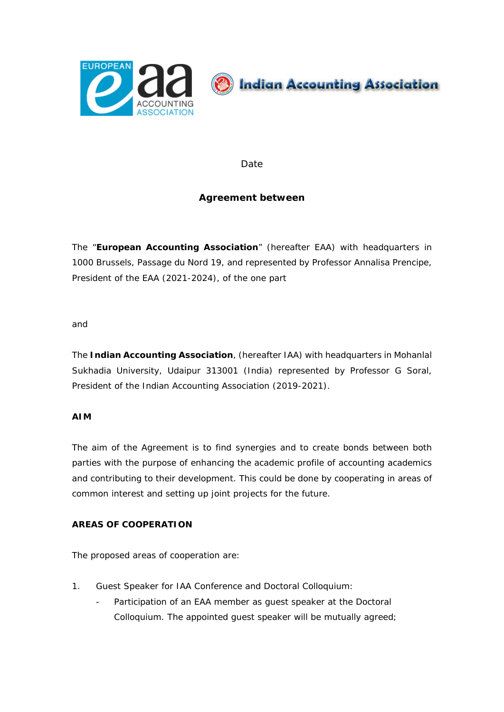



**Date** 

## **Agreement between**

The "**European Accounting Association**" (hereafter EAA) with headquarters in 1000 Brussels, Passage du Nord 19, and represented by Professor Annalisa Prencipe, President of the EAA (2021-2024), of the one part

and

The **Indian Accounting Association**, (hereafter IAA) with headquarters in Mohanlal Sukhadia University, Udaipur 313001 (India) represented by Professor G Soral, President of the Indian Accounting Association (2019-2021).

## **AIM**

The aim of the Agreement is to find synergies and to create bonds between both parties with the purpose of enhancing the academic profile of accounting academics and contributing to their development. This could be done by cooperating in areas of common interest and setting up joint projects for the future.

## **AREAS OF COOPERATION**

The proposed areas of cooperation are:

- 1. Guest Speaker for IAA Conference and Doctoral Colloquium:
	- Participation of an EAA member as guest speaker at the Doctoral Colloquium. The appointed guest speaker will be mutually agreed;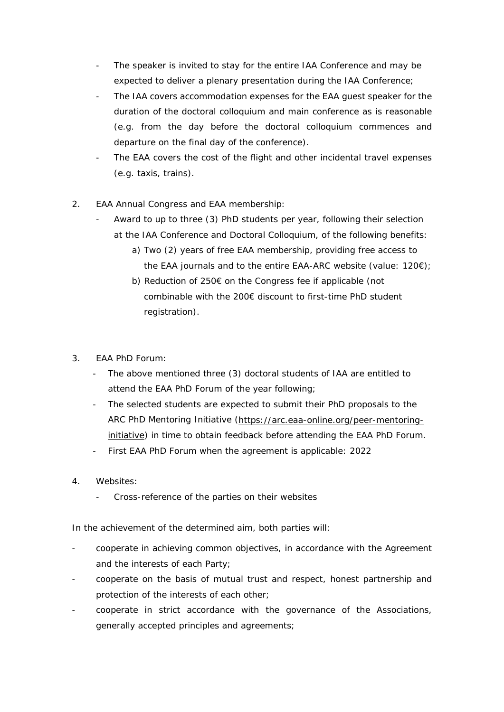- The speaker is invited to stay for the entire IAA Conference and may be expected to deliver a plenary presentation during the IAA Conference;
- The IAA covers accommodation expenses for the EAA guest speaker for the duration of the doctoral colloquium and main conference as is reasonable (e.g. from the day before the doctoral colloquium commences and departure on the final day of the conference).
- The EAA covers the cost of the flight and other incidental travel expenses (e.g. taxis, trains).
- 2. EAA Annual Congress and EAA membership:
	- Award to up to three (3) PhD students per year, following their selection at the IAA Conference and Doctoral Colloquium, of the following benefits:
		- a) Two (2) years of free EAA membership, providing free access to the EAA journals and to the entire EAA-ARC website (value: 120€);
		- b) Reduction of 250€ on the Congress fee if applicable (not combinable with the 200€ discount to first-time PhD student registration).
- 3. EAA PhD Forum:
	- The above mentioned three (3) doctoral students of IAA are entitled to attend the EAA PhD Forum of the year following;
	- The selected students are expected to submit their PhD proposals to the ARC PhD Mentoring Initiative [\(https://arc.eaa-online.org/peer-mentoring](https://arc.eaa-online.org/peer-mentoring-initiative)[initiative\)](https://arc.eaa-online.org/peer-mentoring-initiative) in time to obtain feedback before attending the EAA PhD Forum.
	- First EAA PhD Forum when the agreement is applicable: 2022
- 4. Websites:
	- Cross-reference of the parties on their websites

In the achievement of the determined aim, both parties will:

- cooperate in achieving common objectives, in accordance with the Agreement and the interests of each Party;
- cooperate on the basis of mutual trust and respect, honest partnership and protection of the interests of each other;
- cooperate in strict accordance with the governance of the Associations, generally accepted principles and agreements;